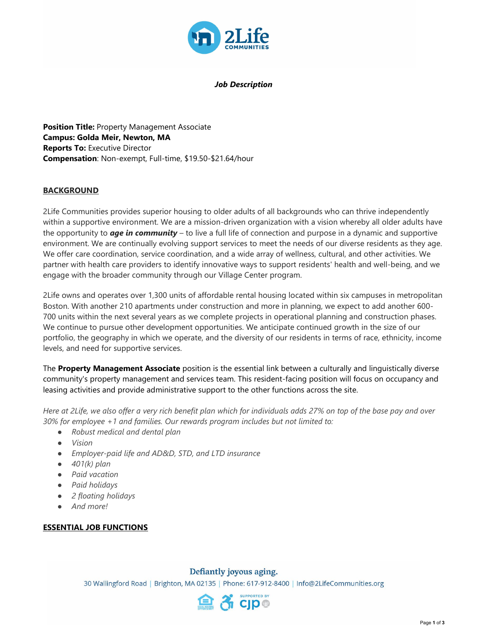

*Job Description*

**Position Title:** Property Management Associate **Campus: Golda Meir, Newton, MA Reports To:** Executive Director **Compensation**: Non-exempt, Full-time, \$19.50-\$21.64/hour

#### **BACKGROUND**

2Life Communities provides superior housing to older adults of all backgrounds who can thrive independently within a supportive environment. We are a mission-driven organization with a vision whereby all older adults have the opportunity to *age in community* – to live a full life of connection and purpose in a dynamic and supportive environment. We are continually evolving support services to meet the needs of our diverse residents as they age. We offer care coordination, service coordination, and a wide array of wellness, cultural, and other activities. We partner with health care providers to identify innovative ways to support residents' health and well-being, and we engage with the broader community through our Village Center program.

2Life owns and operates over 1,300 units of affordable rental housing located within six campuses in metropolitan Boston. With another 210 apartments under construction and more in planning, we expect to add another 600- 700 units within the next several years as we complete projects in operational planning and construction phases. We continue to pursue other development opportunities. We anticipate continued growth in the size of our portfolio, the geography in which we operate, and the diversity of our residents in terms of race, ethnicity, income levels, and need for supportive services.

The **Property Management Associate** position is the essential link between a culturally and linguistically diverse community's property management and services team. This resident-facing position will focus on occupancy and leasing activities and provide administrative support to the other functions across the site.

*Here at 2Life, we also offer a very rich benefit plan which for individuals adds 27% on top of the base pay and over 30% for employee +1 and families. Our rewards program includes but not limited to:*

- *Robust medical and dental plan*
- *Vision*
- *Employer-paid life and AD&D, STD, and LTD insurance*
- *401(k) plan*
- *Paid vacation*
- *Paid holidays*
- *2 floating holidays*
- *And more!*

#### **ESSENTIAL JOB FUNCTIONS**

#### Defiantly joyous aging.

30 Wallingford Road | Brighton, MA 02135 | Phone: 617-912-8400 | Info@2LifeCommunities.org

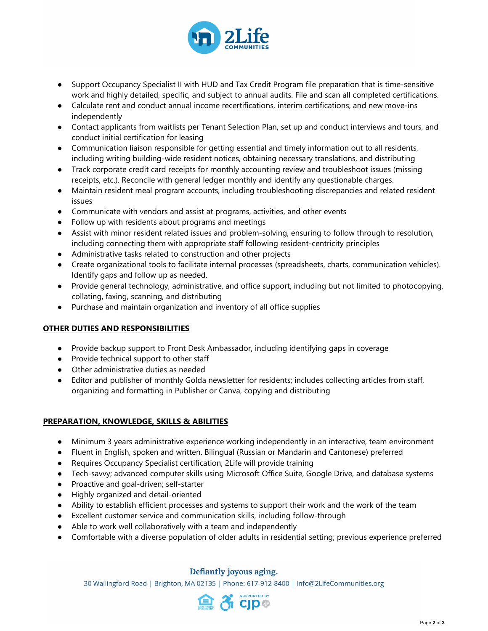

- Support Occupancy Specialist II with HUD and Tax Credit Program file preparation that is time-sensitive work and highly detailed, specific, and subject to annual audits. File and scan all completed certifications.
- Calculate rent and conduct annual income recertifications, interim certifications, and new move-ins independently
- Contact applicants from waitlists per Tenant Selection Plan, set up and conduct interviews and tours, and conduct initial certification for leasing
- Communication liaison responsible for getting essential and timely information out to all residents, including writing building-wide resident notices, obtaining necessary translations, and distributing
- Track corporate credit card receipts for monthly accounting review and troubleshoot issues (missing receipts, etc.). Reconcile with general ledger monthly and identify any questionable charges.
- Maintain resident meal program accounts, including troubleshooting discrepancies and related resident issues
- Communicate with vendors and assist at programs, activities, and other events
- Follow up with residents about programs and meetings
- Assist with minor resident related issues and problem-solving, ensuring to follow through to resolution, including connecting them with appropriate staff following resident-centricity principles
- Administrative tasks related to construction and other projects
- Create organizational tools to facilitate internal processes (spreadsheets, charts, communication vehicles). Identify gaps and follow up as needed.
- Provide general technology, administrative, and office support, including but not limited to photocopying, collating, faxing, scanning, and distributing
- Purchase and maintain organization and inventory of all office supplies

# **OTHER DUTIES AND RESPONSIBILITIES**

- Provide backup support to Front Desk Ambassador, including identifying gaps in coverage
- Provide technical support to other staff
- Other administrative duties as needed
- Editor and publisher of monthly Golda newsletter for residents; includes collecting articles from staff, organizing and formatting in Publisher or Canva, copying and distributing

# **PREPARATION, KNOWLEDGE, SKILLS & ABILITIES**

- Minimum 3 years administrative experience working independently in an interactive, team environment
- Fluent in English, spoken and written. Bilingual (Russian or Mandarin and Cantonese) preferred
- Requires Occupancy Specialist certification; 2Life will provide training
- Tech-savvy; advanced computer skills using Microsoft Office Suite, Google Drive, and database systems
- Proactive and goal-driven; self-starter
- Highly organized and detail-oriented
- Ability to establish efficient processes and systems to support their work and the work of the team
- Excellent customer service and communication skills, including follow-through
- Able to work well collaboratively with a team and independently
- Comfortable with a diverse population of older adults in residential setting; previous experience preferred

# Defiantly joyous aging.

30 Wallingford Road | Brighton, MA 02135 | Phone: 617-912-8400 | Info@2LifeCommunities.org